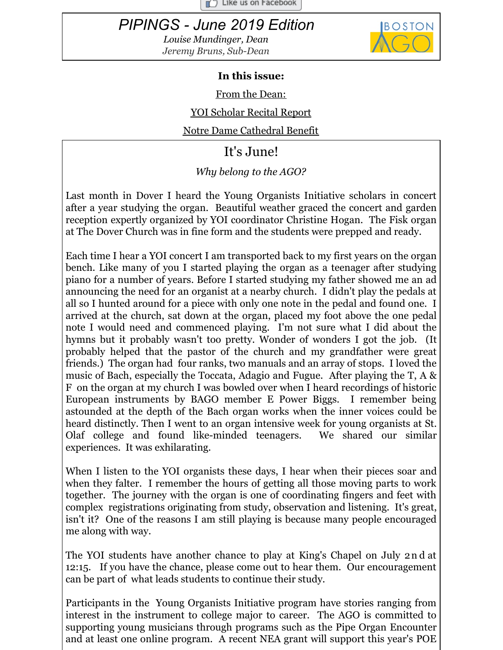$\Box$  Like us on Facebook

# <span id="page-0-0"></span>*PIPINGS - June 2019 Edition*

*Louise Mundinger, Dean Jeremy Bruns, Sub-Dean*



#### **In this issue:**

From the [Dean:](#page-0-0)

YOI [Scholar](#page-0-0) Recital Report

Notre Dame [Cathedral](#page-0-0) Benefit

## It's June!

### *Why belong to the AGO?*

Last month in Dover I heard the Young Organists Initiative scholars in concert after a year studying the organ. Beautiful weather graced the concert and garden reception expertly organized by YOI coordinator Christine Hogan. The Fisk organ at The Dover Church was in fine form and the students were prepped and ready.

Each time I hear a YOI concert I am transported back to my first years on the organ bench. Like many of you I started playing the organ as a teenager after studying piano for a number of years. Before I started studying my father showed me an ad announcing the need for an organist at a nearby church. I didn't play the pedals at all so I hunted around for a piece with only one note in the pedal and found one. I arrived at the church, sat down at the organ, placed my foot above the one pedal note I would need and commenced playing. I'm not sure what I did about the hymns but it probably wasn't too pretty. Wonder of wonders I got the job. (It probably helped that the pastor of the church and my grandfather were great friends.) The organ had four ranks, two manuals and an array of stops. I loved the music of Bach, especially the Toccata, Adagio and Fugue. After playing the T, A & F on the organ at my church I was bowled over when I heard recordings of historic European instruments by BAGO member E Power Biggs. I remember being astounded at the depth of the Bach organ works when the inner voices could be heard distinctly. Then I went to an organ intensive week for young organists at St. Olaf college and found like-minded teenagers. We shared our similar experiences. It was exhilarating.

When I listen to the YOI organists these days, I hear when their pieces soar and when they falter. I remember the hours of getting all those moving parts to work together. The journey with the organ is one of coordinating fingers and feet with complex registrations originating from study, observation and listening. It's great, isn't it? One of the reasons I am still playing is because many people encouraged me along with way.

The YOI students have another chance to play at King's Chapel on July 2n d at 12:15. If you have the chance, please come out to hear them. Our encouragement can be part of what leads students to continue their study.

Participants in the Young Organists Initiative program have stories ranging from interest in the instrument to college major to career. The AGO is committed to supporting young musicians through programs such as the Pipe Organ Encounter and at least one online program. A recent NEA grant will support this year's POE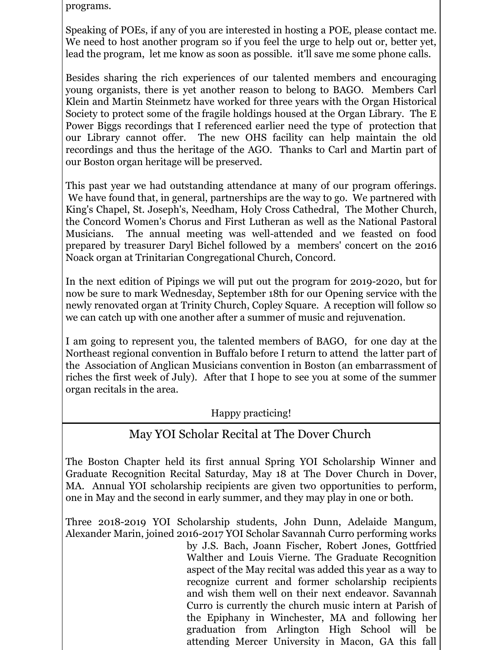programs.

Speaking of POEs, if any of you are interested in hosting a POE, please contact me. We need to host another program so if you feel the urge to help out or, better yet, lead the program, let me know as soon as possible. it'll save me some phone calls.

Besides sharing the rich experiences of our talented members and encouraging young organists, there is yet another reason to belong to BAGO. Members Carl Klein and Martin Steinmetz have worked for three years with the Organ Historical Society to protect some of the fragile holdings housed at the Organ Library. The E Power Biggs recordings that I referenced earlier need the type of protection that our Library cannot offer. The new OHS facility can help maintain the old recordings and thus the heritage of the AGO. Thanks to Carl and Martin part of our Boston organ heritage will be preserved.

This past year we had outstanding attendance at many of our program offerings. We have found that, in general, partnerships are the way to go. We partnered with King's Chapel, St. Joseph's, Needham, Holy Cross Cathedral, The Mother Church, the Concord Women's Chorus and First Lutheran as well as the National Pastoral Musicians. The annual meeting was well-attended and we feasted on food prepared by treasurer Daryl Bichel followed by a members' concert on the 2016 Noack organ at Trinitarian Congregational Church, Concord.

In the next edition of Pipings we will put out the program for 2019-2020, but for now be sure to mark Wednesday, September 18th for our Opening service with the newly renovated organ at Trinity Church, Copley Square. A reception will follow so we can catch up with one another after a summer of music and rejuvenation.

I am going to represent you, the talented members of BAGO, for one day at the Northeast regional convention in Buffalo before I return to attend the latter part of the Association of Anglican Musicians convention in Boston (an embarrassment of riches the first week of July). After that I hope to see you at some of the summer organ recitals in the area.

#### Happy practicing!

## May YOI Scholar Recital at The Dover Church

The Boston Chapter held its first annual Spring YOI Scholarship Winner and Graduate Recognition Recital Saturday, May 18 at The Dover Church in Dover, MA. Annual YOI scholarship recipients are given two opportunities to perform, one in May and the second in early summer, and they may play in one or both.

Three 2018-2019 YOI Scholarship students, John Dunn, Adelaide Mangum, Alexander Marin, joined 2016-2017 YOI Scholar Savannah Curro performing works

by J.S. Bach, Joann Fischer, Robert Jones, Gottfried Walther and Louis Vierne. The Graduate Recognition aspect of the May recital was added this year as a way to recognize current and former scholarship recipients and wish them well on their next endeavor. Savannah Curro is currently the church music intern at Parish of the Epiphany in Winchester, MA and following her graduation from Arlington High School will be attending Mercer University in Macon, GA this fall